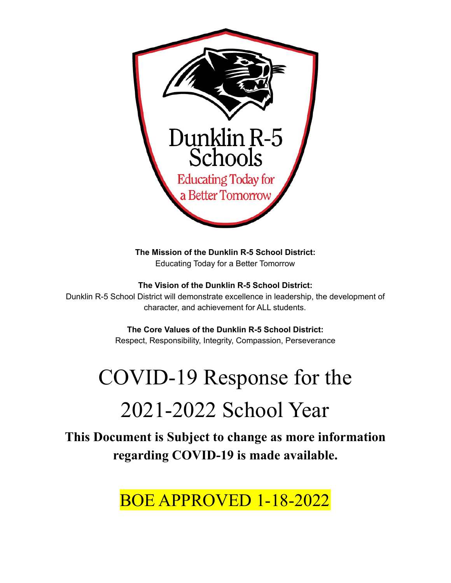

**The Mission of the Dunklin R-5 School District:** Educating Today for a Better Tomorrow

**The Vision of the Dunklin R-5 School District:**

Dunklin R-5 School District will demonstrate excellence in leadership, the development of character, and achievement for ALL students.

**The Core Values of the Dunklin R-5 School District:**

Respect, Responsibility, Integrity, Compassion, Perseverance

# COVID-19 Response for the 2021-2022 School Year

**This Document is Subject to change as more information regarding COVID-19 is made available.**

# BOE APPROVED 1-18-2022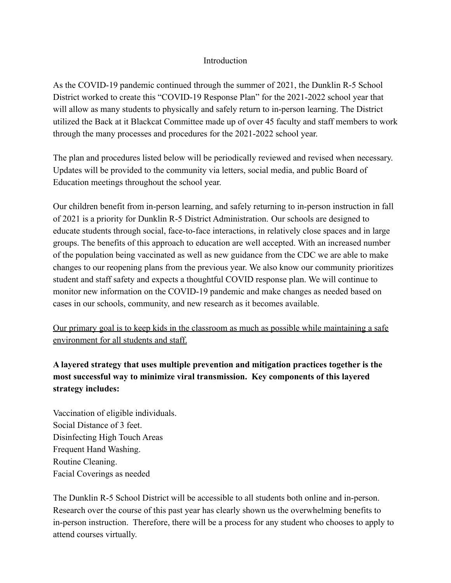### **Introduction**

As the COVID-19 pandemic continued through the summer of 2021, the Dunklin R-5 School District worked to create this "COVID-19 Response Plan" for the 2021-2022 school year that will allow as many students to physically and safely return to in-person learning. The District utilized the Back at it Blackcat Committee made up of over 45 faculty and staff members to work through the many processes and procedures for the 2021-2022 school year.

The plan and procedures listed below will be periodically reviewed and revised when necessary. Updates will be provided to the community via letters, social media, and public Board of Education meetings throughout the school year.

Our children benefit from in-person learning, and safely returning to in-person instruction in fall of 2021 is a priority for Dunklin R-5 District Administration. Our schools are designed to educate students through social, face-to-face interactions, in relatively close spaces and in large groups. The benefits of this approach to education are well accepted. With an increased number of the population being vaccinated as well as new guidance from the CDC we are able to make changes to our reopening plans from the previous year. We also know our community prioritizes student and staff safety and expects a thoughtful COVID response plan. We will continue to monitor new information on the COVID-19 pandemic and make changes as needed based on cases in our schools, community, and new research as it becomes available.

Our primary goal is to keep kids in the classroom as much as possible while maintaining a safe environment for all students and staff.

**A layered strategy that uses multiple prevention and mitigation practices together is the most successful way to minimize viral transmission. Key components of this layered strategy includes:**

Vaccination of eligible individuals. Social Distance of 3 feet. Disinfecting High Touch Areas Frequent Hand Washing. Routine Cleaning. Facial Coverings as needed

The Dunklin R-5 School District will be accessible to all students both online and in-person. Research over the course of this past year has clearly shown us the overwhelming benefits to in-person instruction. Therefore, there will be a process for any student who chooses to apply to attend courses virtually.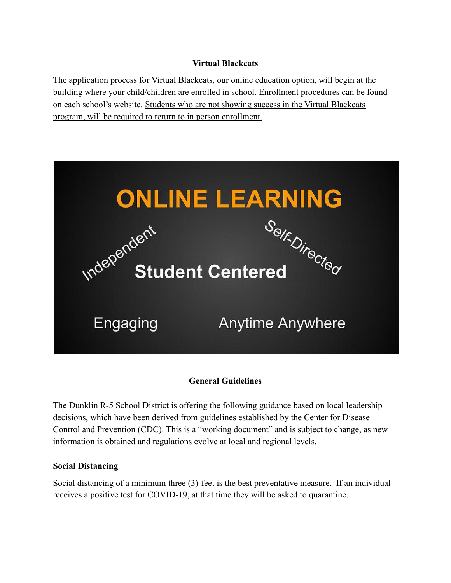### **Virtual Blackcats**

The application process for Virtual Blackcats, our online education option, will begin at the building where your child/children are enrolled in school. Enrollment procedures can be found on each school's website. Students who are not showing success in the Virtual Blackcats program, will be required to return to in person enrollment.



# **General Guidelines**

The Dunklin R-5 School District is offering the following guidance based on local leadership decisions, which have been derived from guidelines established by the Center for Disease Control and Prevention (CDC). This is a "working document" and is subject to change, as new information is obtained and regulations evolve at local and regional levels.

#### **Social Distancing**

Social distancing of a minimum three (3)-feet is the best preventative measure. If an individual receives a positive test for COVID-19, at that time they will be asked to quarantine.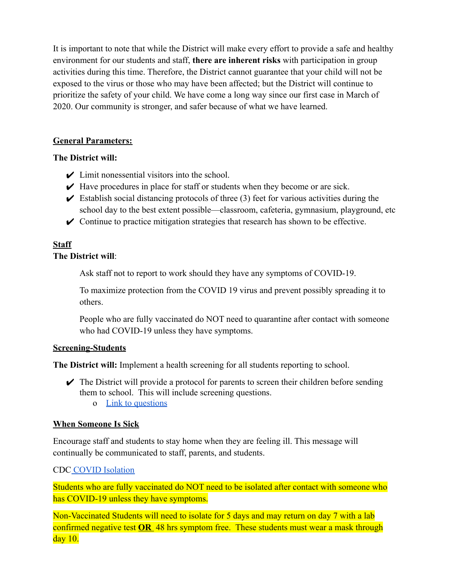It is important to note that while the District will make every effort to provide a safe and healthy environment for our students and staff, **there are inherent risks** with participation in group activities during this time. Therefore, the District cannot guarantee that your child will not be exposed to the virus or those who may have been affected; but the District will continue to prioritize the safety of your child. We have come a long way since our first case in March of 2020. Our community is stronger, and safer because of what we have learned.

#### **General Parameters:**

#### **The District will:**

- $\angle$  Limit nonessential visitors into the school.
- $\blacktriangleright$  Have procedures in place for staff or students when they become or are sick.
- $\triangleright$  Establish social distancing protocols of three (3) feet for various activities during the school day to the best extent possible—classroom, cafeteria, gymnasium, playground, etc
- $\triangleright$  Continue to practice mitigation strategies that research has shown to be effective.

#### **Staff The District will**:

Ask staff not to report to work should they have any symptoms of COVID-19.

To maximize protection from the COVID 19 virus and prevent possibly spreading it to others.

People who are fully vaccinated do NOT need to quarantine after contact with someone who had COVID-19 unless they have symptoms.

#### **Screening-Students**

**The District will:** Implement a health screening for all students reporting to school.

- $\triangleright$  The District will provide a protocol for parents to screen their children before sending them to school. This will include screening questions.
	- o [Link to questions](https://drive.google.com/file/d/1I6ut5diOBXYfrXAtY9AyqTVic_qH06Zs/view?usp=sharing)

#### **When Someone Is Sick**

Encourage staff and students to stay home when they are feeling ill. This message will continually be communicated to staff, parents, and students.

#### CDC [COVID Isolation](https://www.cdc.gov/coronavirus/2019-ncov/if-you-are-sick/quarantine.html)

Students who are fully vaccinated do NOT need to be isolated after contact with someone who has COVID-19 unless they have symptoms.

Non-Vaccinated Students will need to isolate for 5 days and may return on day 7 with a lab confirmed negative test **OR** 48 hrs symptom free. These students must wear a mask through day 10.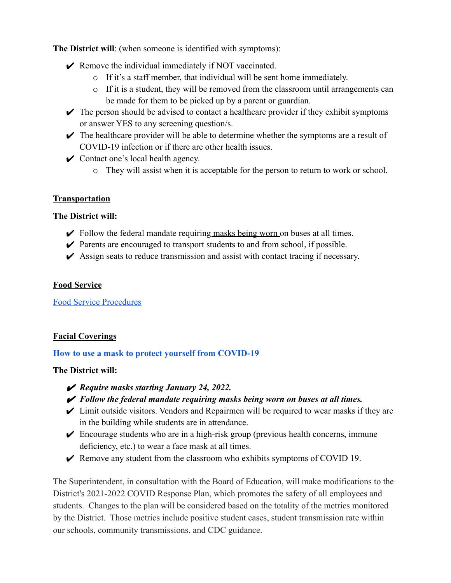**The District will**: (when someone is identified with symptoms):

- $\triangleright$  Remove the individual immediately if NOT vaccinated.
	- o If it's a staff member, that individual will be sent home immediately.
	- $\circ$  If it is a student, they will be removed from the classroom until arrangements can be made for them to be picked up by a parent or guardian.
- $\triangleright$  The person should be advised to contact a healthcare provider if they exhibit symptoms or answer YES to any screening question/s.
- $\triangleright$  The healthcare provider will be able to determine whether the symptoms are a result of COVID-19 infection or if there are other health issues.
- $\triangleright$  Contact one's local health agency.
	- o They will assist when it is acceptable for the person to return to work or school.

### **Transportation**

#### **The District will:**

- $\triangleright$  Follow the federal mandate requiring masks being worn on buses at all times.
- $\triangleright$  Parents are encouraged to transport students to and from school, if possible.
- $\triangleright$  Assign seats to reduce transmission and assist with contact tracing if necessary.

#### **Food Service**

[Food Service Procedures](https://docs.google.com/document/d/1dBp9m_z9P_vElC6TxBgArO8CPYAssLPhGbNcBtBUOjQ/edit?usp=sharing)

# **Facial Coverings**

#### **[How to use a mask to protect yourself from COVID-19](https://drive.google.com/file/d/1cypB9B0awITmidkEDPBmJL-Q_R6C5422/view?usp=sharing)**

#### **The District will:**

- ✔ *Require masks starting January 24, 2022.*
- ✔ *Follow the federal mandate requiring masks being worn on buses at all times.*
- $\triangleright$  Limit outside visitors. Vendors and Repairmen will be required to wear masks if they are in the building while students are in attendance.
- $\triangleright$  Encourage students who are in a high-risk group (previous health concerns, immune deficiency, etc.) to wear a face mask at all times.
- $\blacktriangleright$  Remove any student from the classroom who exhibits symptoms of COVID 19.

The Superintendent, in consultation with the Board of Education, will make modifications to the District's 2021-2022 COVID Response Plan, which promotes the safety of all employees and students. Changes to the plan will be considered based on the totality of the metrics monitored by the District. Those metrics include positive student cases, student transmission rate within our schools, community transmissions, and CDC guidance.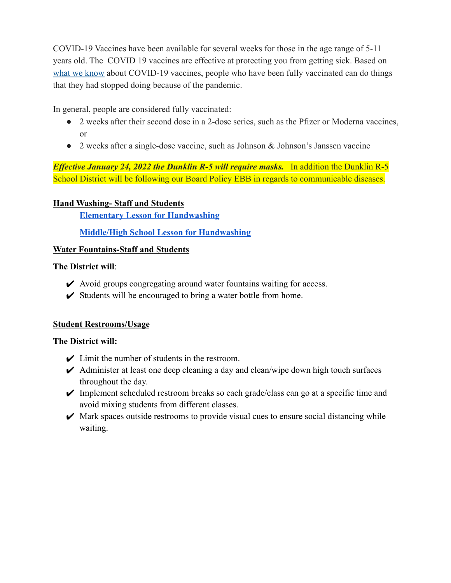COVID-19 Vaccines have been available for several weeks for those in the age range of 5-11 years old. The COVID 19 vaccines are effective at protecting you from getting sick. Based on [what we know](https://www.cdc.gov/coronavirus/2019-ncov/vaccines/keythingstoknow.html) about COVID-19 vaccines, people who have been fully vaccinated can do things that they had stopped doing because of the pandemic.

In general, people are considered fully vaccinated:

- 2 weeks after their second dose in a 2-dose series, such as the Pfizer or Moderna vaccines, or
- 2 weeks after a single-dose vaccine, such as Johnson & Johnson's Janssen vaccine

*Effective January 24, 2022 the Dunklin R-5 will require masks.* In addition the Dunklin R-5 School District will be following our Board Policy EBB in regards to communicable diseases.

#### **Hand Washing- Staff and Students**

**[Elementary Lesson for Handwashing](https://drive.google.com/file/d/13874SnbhbO8yBvBV0LbvbMmb_s8RVPVF/view?usp=sharing)**

**[Middle/High School Lesson for Handwashing](https://drive.google.com/file/d/1AcA-7y2-QOBAw4jWj3wb-7yhAHd5o1YV/view?usp=sharing)**

#### **Water Fountains-Staff and Students**

#### **The District will**:

- $\triangleright$  Avoid groups congregating around water fountains waiting for access.
- $\checkmark$  Students will be encouraged to bring a water bottle from home.

#### **Student Restrooms/Usage**

#### **The District will:**

- $\angle$  Limit the number of students in the restroom.
- $\blacktriangleright$  Administer at least one deep cleaning a day and clean/wipe down high touch surfaces throughout the day.
- $\triangleright$  Implement scheduled restroom breaks so each grade/class can go at a specific time and avoid mixing students from different classes.
- $\blacktriangleright$  Mark spaces outside restrooms to provide visual cues to ensure social distancing while waiting.